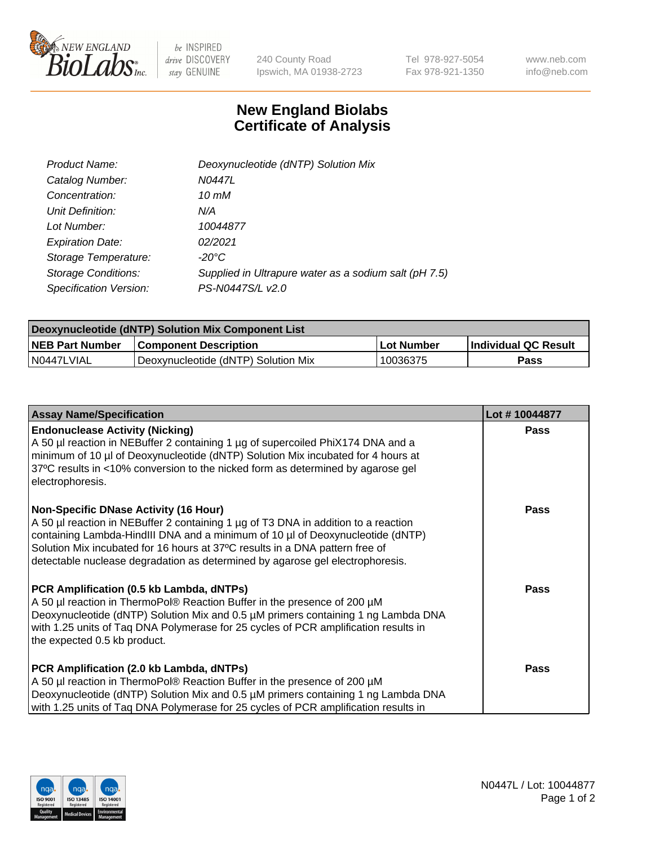

 $be$  INSPIRED drive DISCOVERY stay GENUINE

240 County Road Ipswich, MA 01938-2723 Tel 978-927-5054 Fax 978-921-1350 www.neb.com info@neb.com

## **New England Biolabs Certificate of Analysis**

| Product Name:              | Deoxynucleotide (dNTP) Solution Mix                   |
|----------------------------|-------------------------------------------------------|
| Catalog Number:            | N0447L                                                |
| Concentration:             | 10 mM                                                 |
| Unit Definition:           | N/A                                                   |
| Lot Number:                | 10044877                                              |
| <b>Expiration Date:</b>    | 02/2021                                               |
| Storage Temperature:       | $-20^{\circ}$ C                                       |
| <b>Storage Conditions:</b> | Supplied in Ultrapure water as a sodium salt (pH 7.5) |
| Specification Version:     | PS-N0447S/L v2.0                                      |

| Deoxynucleotide (dNTP) Solution Mix Component List |                                     |            |                             |  |
|----------------------------------------------------|-------------------------------------|------------|-----------------------------|--|
| <b>NEB Part Number</b>                             | <b>Component Description</b>        | Lot Number | <b>Individual QC Result</b> |  |
| I N0447LVIAL                                       | Deoxynucleotide (dNTP) Solution Mix | 10036375   | Pass                        |  |

| <b>Assay Name/Specification</b>                                                                                                                                                                                                                                                                                                                                                | Lot #10044877 |
|--------------------------------------------------------------------------------------------------------------------------------------------------------------------------------------------------------------------------------------------------------------------------------------------------------------------------------------------------------------------------------|---------------|
| <b>Endonuclease Activity (Nicking)</b><br>A 50 µl reaction in NEBuffer 2 containing 1 µg of supercoiled PhiX174 DNA and a<br>minimum of 10 µl of Deoxynucleotide (dNTP) Solution Mix incubated for 4 hours at<br>37°C results in <10% conversion to the nicked form as determined by agarose gel<br>electrophoresis.                                                           | <b>Pass</b>   |
| Non-Specific DNase Activity (16 Hour)<br>A 50 µl reaction in NEBuffer 2 containing 1 µg of T3 DNA in addition to a reaction<br>containing Lambda-HindIII DNA and a minimum of 10 µl of Deoxynucleotide (dNTP)<br>Solution Mix incubated for 16 hours at 37°C results in a DNA pattern free of<br>detectable nuclease degradation as determined by agarose gel electrophoresis. | <b>Pass</b>   |
| PCR Amplification (0.5 kb Lambda, dNTPs)<br>A 50 µl reaction in ThermoPol® Reaction Buffer in the presence of 200 µM<br>Deoxynucleotide (dNTP) Solution Mix and 0.5 µM primers containing 1 ng Lambda DNA<br>with 1.25 units of Taq DNA Polymerase for 25 cycles of PCR amplification results in<br>the expected 0.5 kb product.                                               | <b>Pass</b>   |
| PCR Amplification (2.0 kb Lambda, dNTPs)<br>A 50 µl reaction in ThermoPol® Reaction Buffer in the presence of 200 µM<br>Deoxynucleotide (dNTP) Solution Mix and 0.5 µM primers containing 1 ng Lambda DNA<br>with 1.25 units of Tag DNA Polymerase for 25 cycles of PCR amplification results in                                                                               | Pass          |